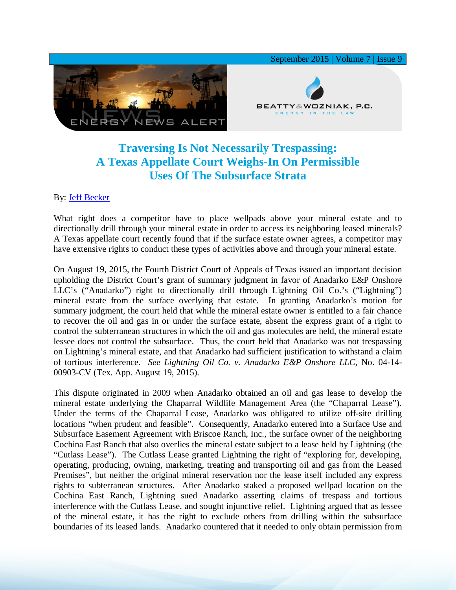

## **Traversing Is Not Necessarily Trespassing: A Texas Appellate Court Weighs-In On Permissible Uses Of The Subsurface Strata**

## By: [Jeff Becker](http://www.bwenergylaw.com/#!jeff-becker/crph)

What right does a competitor have to place wellpads above your mineral estate and to directionally drill through your mineral estate in order to access its neighboring leased minerals? A Texas appellate court recently found that if the surface estate owner agrees, a competitor may have extensive rights to conduct these types of activities above and through your mineral estate.

On August 19, 2015, the Fourth District Court of Appeals of Texas issued an important decision upholding the District Court's grant of summary judgment in favor of Anadarko E&P Onshore LLC's ("Anadarko") right to directionally drill through Lightning Oil Co.'s ("Lightning") mineral estate from the surface overlying that estate. In granting Anadarko's motion for summary judgment, the court held that while the mineral estate owner is entitled to a fair chance to recover the oil and gas in or under the surface estate, absent the express grant of a right to control the subterranean structures in which the oil and gas molecules are held, the mineral estate lessee does not control the subsurface. Thus, the court held that Anadarko was not trespassing on Lightning's mineral estate, and that Anadarko had sufficient justification to withstand a claim of tortious interference. *See Lightning Oil Co. v. Anadarko E&P Onshore LLC*, No. 04-14- 00903-CV (Tex. App. August 19, 2015).

This dispute originated in 2009 when Anadarko obtained an oil and gas lease to develop the mineral estate underlying the Chaparral Wildlife Management Area (the "Chaparral Lease"). Under the terms of the Chaparral Lease, Anadarko was obligated to utilize off-site drilling locations "when prudent and feasible". Consequently, Anadarko entered into a Surface Use and Subsurface Easement Agreement with Briscoe Ranch, Inc., the surface owner of the neighboring Cochina East Ranch that also overlies the mineral estate subject to a lease held by Lightning (the "Cutlass Lease"). The Cutlass Lease granted Lightning the right of "exploring for, developing, operating, producing, owning, marketing, treating and transporting oil and gas from the Leased Premises", but neither the original mineral reservation nor the lease itself included any express rights to subterranean structures. After Anadarko staked a proposed wellpad location on the Cochina East Ranch, Lightning sued Anadarko asserting claims of trespass and tortious interference with the Cutlass Lease, and sought injunctive relief. Lightning argued that as lessee of the mineral estate, it has the right to exclude others from drilling within the subsurface boundaries of its leased lands. Anadarko countered that it needed to only obtain permission from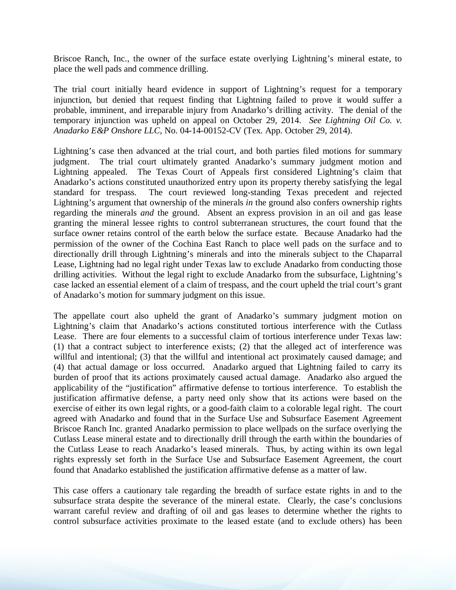Briscoe Ranch, Inc., the owner of the surface estate overlying Lightning's mineral estate, to place the well pads and commence drilling.

The trial court initially heard evidence in support of Lightning's request for a temporary injunction, but denied that request finding that Lightning failed to prove it would suffer a probable, imminent, and irreparable injury from Anadarko's drilling activity. The denial of the temporary injunction was upheld on appeal on October 29, 2014. *See Lightning Oil Co. v. Anadarko E&P Onshore LLC*, No. 04-14-00152-CV (Tex. App. October 29, 2014).

Lightning's case then advanced at the trial court, and both parties filed motions for summary judgment. The trial court ultimately granted Anadarko's summary judgment motion and Lightning appealed. The Texas Court of Appeals first considered Lightning's claim that Anadarko's actions constituted unauthorized entry upon its property thereby satisfying the legal standard for trespass. The court reviewed long-standing Texas precedent and rejected Lightning's argument that ownership of the minerals *in* the ground also confers ownership rights regarding the minerals *and* the ground. Absent an express provision in an oil and gas lease granting the mineral lessee rights to control subterranean structures, the court found that the surface owner retains control of the earth below the surface estate. Because Anadarko had the permission of the owner of the Cochina East Ranch to place well pads on the surface and to directionally drill through Lightning's minerals and into the minerals subject to the Chaparral Lease, Lightning had no legal right under Texas law to exclude Anadarko from conducting those drilling activities. Without the legal right to exclude Anadarko from the subsurface, Lightning's case lacked an essential element of a claim of trespass, and the court upheld the trial court's grant of Anadarko's motion for summary judgment on this issue.

The appellate court also upheld the grant of Anadarko's summary judgment motion on Lightning's claim that Anadarko's actions constituted tortious interference with the Cutlass Lease. There are four elements to a successful claim of tortious interference under Texas law: (1) that a contract subject to interference exists; (2) that the alleged act of interference was willful and intentional; (3) that the willful and intentional act proximately caused damage; and (4) that actual damage or loss occurred. Anadarko argued that Lightning failed to carry its burden of proof that its actions proximately caused actual damage. Anadarko also argued the applicability of the "justification" affirmative defense to tortious interference. To establish the justification affirmative defense, a party need only show that its actions were based on the exercise of either its own legal rights, or a good-faith claim to a colorable legal right. The court agreed with Anadarko and found that in the Surface Use and Subsurface Easement Agreement Briscoe Ranch Inc. granted Anadarko permission to place wellpads on the surface overlying the Cutlass Lease mineral estate and to directionally drill through the earth within the boundaries of the Cutlass Lease to reach Anadarko's leased minerals. Thus, by acting within its own legal rights expressly set forth in the Surface Use and Subsurface Easement Agreement, the court found that Anadarko established the justification affirmative defense as a matter of law.

This case offers a cautionary tale regarding the breadth of surface estate rights in and to the subsurface strata despite the severance of the mineral estate. Clearly, the case's conclusions warrant careful review and drafting of oil and gas leases to determine whether the rights to control subsurface activities proximate to the leased estate (and to exclude others) has been